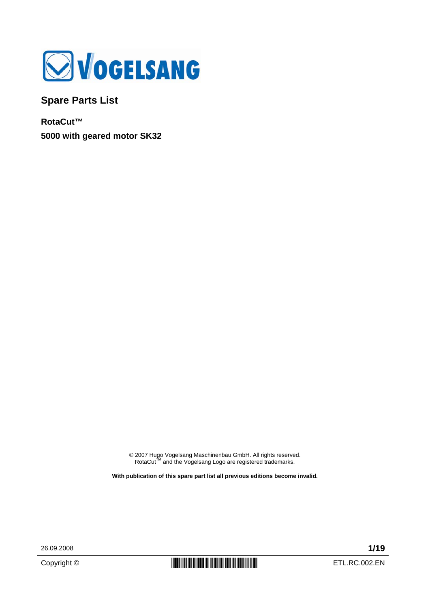

**Spare Parts List** 

**RotaCut™ 5000 with geared motor SK32** 

© 2007 Hugo Vogelsang Maschinenbau GmbH. All rights reserved.<br>RotaCut™ and the Vogelsang Logo are registered trademarks.

**With publication of this spare part list all previous editions become invalid.** 

26.09.2008 **1/19**

Copyright ©  $\begin{array}{c|c|c|c} \hline \multicolumn{1}{|c|}{\text{min}} & \multicolumn{1}{|c|}{\text{min}} & \multicolumn{1}{|c|}{\text{min}} & \multicolumn{1}{|c|}{\text{min}} & \multicolumn{1}{|c|}{\text{min}} & \multicolumn{1}{|c|}{\text{min}} & \multicolumn{1}{|c|}{\text{min}} & \multicolumn{1}{|c|}{\text{min}} & \multicolumn{1}{|c|}{\text{min}} & \multicolumn{1}{|c|}{\text{min}} & \multicolumn{1}{|c|}{\text{min}} & \multicolumn{1$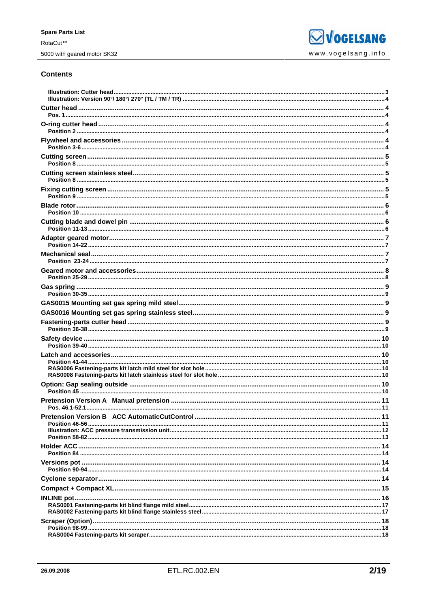### **Contents**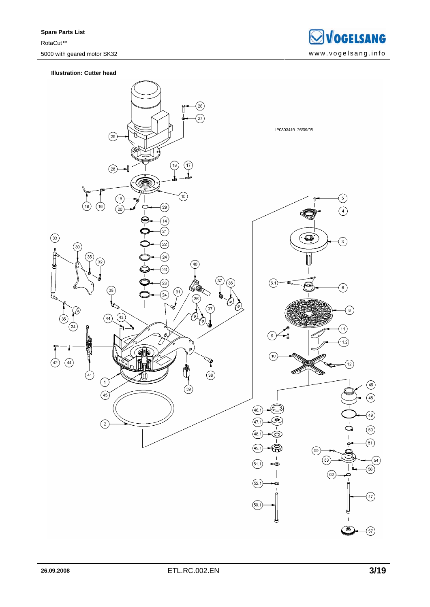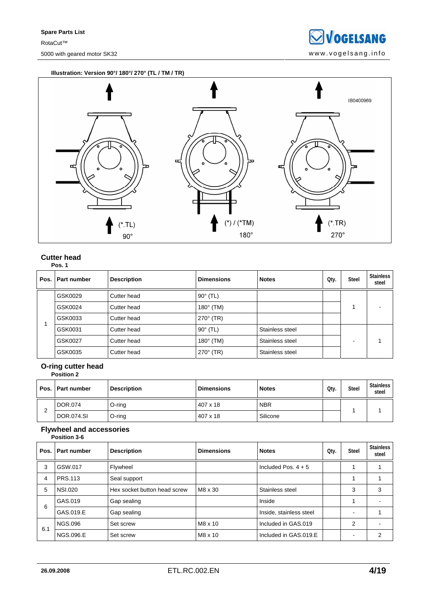**SVOGELSANG** 5000 with geared motor SK32 www.vogelsang.info

**Illustration: Version 90°/ 180°/ 270° (TL / TM / TR)** 



#### **Cutter head Pos. 1**

|  | Pos.   Part number | <b>Description</b> | <b>Dimensions</b> | <b>Notes</b>    | Oty. | <b>Steel</b> | <b>Stainless</b><br>steel |
|--|--------------------|--------------------|-------------------|-----------------|------|--------------|---------------------------|
|  | GSK0029            | Cutter head        | $90^\circ$ (TL)   |                 |      |              |                           |
|  | GSK0024            | Cutter head        | $180^\circ$ (TM)  |                 |      |              |                           |
|  | GSK0033            | Cutter head        | $270^\circ$ (TR)  |                 |      |              |                           |
|  | GSK0031            | Cutter head        | $90^\circ$ (TL)   | Stainless steel |      |              |                           |
|  | GSK0027            | Cutter head        | $180^\circ$ (TM)  | Stainless steel |      |              |                           |
|  | GSK0035            | Cutter head        | $270^\circ$ (TR)  | Stainless steel |      |              |                           |

### **O-ring cutter head**

|        | <b>Position 2</b>  |                    |                   |              |      |              |                    |
|--------|--------------------|--------------------|-------------------|--------------|------|--------------|--------------------|
|        | Pos.   Part number | <b>Description</b> | <b>Dimensions</b> | <b>Notes</b> | Oty. | <b>Steel</b> | Stainless<br>steel |
| C<br>∠ | DOR.074            | O-ring             | 407 x 18          | <b>NBR</b>   |      |              |                    |
|        | <b>DOR.074.SI</b>  | $O$ -ring          | 407 x 18          | Silicone     |      |              |                    |

#### **Flywheel and accessories Position 3-6**

| Pos. | Part number      | <b>Description</b>           | <b>Dimensions</b> | <b>Notes</b>            | Qty. | <b>Steel</b>   | <b>Stainless</b><br>steel |
|------|------------------|------------------------------|-------------------|-------------------------|------|----------------|---------------------------|
| 3    | GSW.017          | Flywheel                     |                   | Included Pos. $4 + 5$   |      |                |                           |
| 4    | <b>PRS.113</b>   | Seal support                 |                   |                         |      |                |                           |
| 5    | <b>NSI.020</b>   | Hex socket button head screw | M8 x 30           | Stainless steel         |      | 3              | 3                         |
| 6    | GAS.019          | Gap sealing                  |                   | Inside                  |      |                |                           |
|      | GAS.019.E        | Gap sealing                  |                   | Inside, stainless steel |      | -              |                           |
| 6.1  | <b>NGS.096</b>   | Set screw                    | $M8 \times 10$    | Included in GAS.019     |      | $\overline{2}$ |                           |
|      | <b>NGS.096.E</b> | Set screw                    | $M8 \times 10$    | Included in GAS.019.E   |      | -              | 2                         |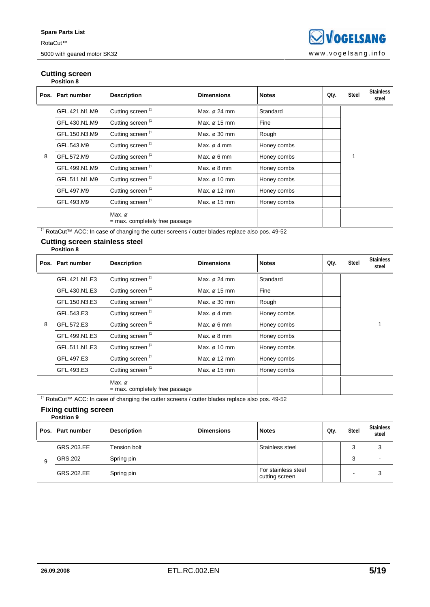#### **Cutting screen Position 8**

|      | POSITION 6    |                                          |                         |              |      |              |                           |  |  |
|------|---------------|------------------------------------------|-------------------------|--------------|------|--------------|---------------------------|--|--|
| Pos. | Part number   | <b>Description</b>                       | <b>Dimensions</b>       | <b>Notes</b> | Qty. | <b>Steel</b> | <b>Stainless</b><br>steel |  |  |
|      | GFL.421.N1.M9 | Cutting screen <sup>(1</sup>             | Max. ø 24 mm            | Standard     |      |              |                           |  |  |
|      | GFL.430.N1.M9 | Cutting screen <sup>(1</sup>             | Max. ø 15 mm            | Fine         |      |              |                           |  |  |
|      | GFL.150.N3.M9 | Cutting screen <sup>(1</sup>             | Max. ø 30 mm            | Rough        |      |              |                           |  |  |
|      | GFL.543.M9    | Cutting screen <sup>(1</sup>             | Max. $\varnothing$ 4 mm | Honey combs  |      |              |                           |  |  |
| 8    | GFL.572.M9    | Cutting screen <sup>(1</sup>             | Max. $\varnothing$ 6 mm | Honey combs  |      |              |                           |  |  |
|      | GFL.499.N1.M9 | Cutting screen <sup>(1</sup>             | Max. $\varnothing$ 8 mm | Honey combs  |      |              |                           |  |  |
|      | GFL.511.N1.M9 | Cutting screen <sup>(1</sup>             | Max. ø 10 mm            | Honey combs  |      |              |                           |  |  |
|      | GFL.497.M9    | Cutting screen <sup>(1</sup>             | Max. ø 12 mm            | Honey combs  |      |              |                           |  |  |
|      | GFL.493.M9    | Cutting screen <sup>(1</sup>             | Max. ø 15 mm            | Honey combs  |      |              |                           |  |  |
|      |               | Max. ø<br>= max. completely free passage |                         |              |      |              |                           |  |  |

(1 RotaCut™ ACC: In case of changing the cutter screens / cutter blades replace also pos. 49-52

#### **Cutting screen stainless steel Position 8**

|   | Pos.   Part number | <b>Description</b>                         | <b>Dimensions</b>       | <b>Notes</b> | Qty. | <b>Steel</b> | <b>Stainless</b><br>steel |  |
|---|--------------------|--------------------------------------------|-------------------------|--------------|------|--------------|---------------------------|--|
|   | GFL.421.N1.E3      | Cutting screen <sup>(1</sup>               | Max. ø 24 mm            | Standard     |      |              |                           |  |
|   | GFL.430.N1.E3      | Cutting screen <sup>(1</sup>               | Max. ø 15 mm            | Fine         |      |              |                           |  |
|   | GFL.150.N3.E3      | Cutting screen <sup>(1</sup>               | Max. ø 30 mm            | Rough        |      |              |                           |  |
|   | GFL.543.E3         | Cutting screen <sup>(1</sup>               | Max. $\varnothing$ 4 mm | Honey combs  |      |              |                           |  |
| 8 | GFL.572.E3         | Cutting screen <sup>(1</sup>               | Max. $\varnothing$ 6 mm | Honey combs  |      |              |                           |  |
|   | GFL.499.N1.E3      | Cutting screen (1                          | Max. $\varnothing$ 8 mm | Honey combs  |      |              |                           |  |
|   | GFL.511.N1.E3      | Cutting screen (1                          | Max. ø 10 mm            | Honey combs  |      |              |                           |  |
|   | GFL.497.E3         | Cutting screen (1                          | Max. ø 12 mm            | Honey combs  |      |              |                           |  |
|   | GFL.493.E3         | Cutting screen <sup>(1</sup>               | Max. ø 15 mm            | Honey combs  |      |              |                           |  |
|   |                    | Max. ø<br>$=$ max. completely free passage |                         |              |      |              |                           |  |

(1 RotaCut™ ACC: In case of changing the cutter screens / cutter blades replace also pos. 49-52

#### **Fixing cutting screen Position 9**

|   | Pos.   Part number | <b>Description</b> | <b>Dimensions</b> | <b>Notes</b>                          | Oty. | <b>Steel</b> | <b>Stainless</b><br>steel |
|---|--------------------|--------------------|-------------------|---------------------------------------|------|--------------|---------------------------|
|   | GRS.203.EE         | Tension bolt       |                   | Stainless steel                       |      | 3            | 3                         |
| 9 | GRS.202            | Spring pin         |                   |                                       |      | 3            |                           |
|   | GRS.202.EE         | Spring pin         |                   | For stainless steel<br>cutting screen |      |              | 3                         |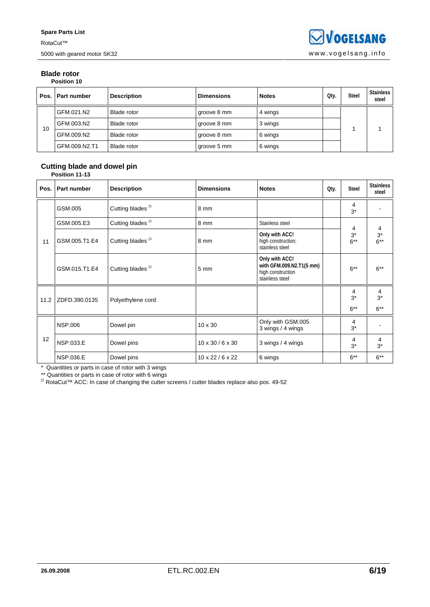#### **Blade rotor Position 10**

| Pos. | <b>Part number</b> | <b>Description</b> | <b>Dimensions</b> | <b>Notes</b> | Qty. | <b>Steel</b> | <b>Stainless</b><br>steel |  |
|------|--------------------|--------------------|-------------------|--------------|------|--------------|---------------------------|--|
| 10   | GFM.021.N2         | Blade rotor        | groove 8 mm       | 4 wings      |      |              |                           |  |
|      | GFM.003.N2         | Blade rotor        | groove 8 mm       | 3 wings      |      |              |                           |  |
|      | GFM.009.N2         | Blade rotor        | groove 8 mm       | 6 wings      |      |              |                           |  |
|      | GFM.009.N2.T1      | <b>Blade rotor</b> | groove 5 mm       | 6 wings      |      |              |                           |  |

#### **Cutting blade and dowel pin Position 11-13**

| Pos. | Part number      | <b>Description</b>           | <b>Dimensions</b>            | <b>Notes</b>                                                                       | Qty. | <b>Steel</b>         | <b>Stainless</b><br>steel |
|------|------------------|------------------------------|------------------------------|------------------------------------------------------------------------------------|------|----------------------|---------------------------|
|      | GSM.005          | Cutting blades <sup>(1</sup> | 8 mm                         |                                                                                    |      | 4<br>$3^*$           |                           |
|      | GSM.005.E3       | Cutting blades <sup>(1</sup> | 8 mm                         | Stainless steel                                                                    |      | 4                    | 4                         |
| 11   | GSM.005.T1.E4    | Cutting blades <sup>(1</sup> | 8 mm                         | Only with ACC!<br>high construction;<br>stainless steel                            |      | $3^*$<br>$6***$      | $3^*$<br>$6***$           |
|      | GSM.015.T1.E4    | Cutting blades <sup>(1</sup> | $5 \text{ mm}$               | Only with ACC!<br>with GFM.009.N2.T1(5 mm)<br>high construction<br>stainless steel |      | $6***$               | $6***$                    |
| 11.2 | ZDFD.390.0135    | Polyethylene cord            |                              |                                                                                    |      | 4<br>$3^*$<br>$6***$ | 4<br>$3^*$<br>$6***$      |
| 12   | <b>NSP.006</b>   | Dowel pin                    | 10 x 30                      | Only with GSM.005<br>3 wings / 4 wings                                             |      | 4<br>$3^*$           |                           |
|      | <b>NSP.033.E</b> | Dowel pins                   | $10 \times 30 / 6 \times 30$ | 3 wings / 4 wings                                                                  |      | 4<br>$3^*$           | 4<br>$3^*$                |
|      | <b>NSP.036.E</b> | Dowel pins                   | $10 \times 22 / 6 \times 22$ | 6 wings                                                                            |      | $6***$               | $6***$                    |

\* Quantities or parts in case of rotor with 3 wings

\*\* Quantities or parts in case of rotor with 6 wings

<sup>(1</sup> RotaCut™ ACC: In case of changing the cutter screens / cutter blades replace also pos. 49-52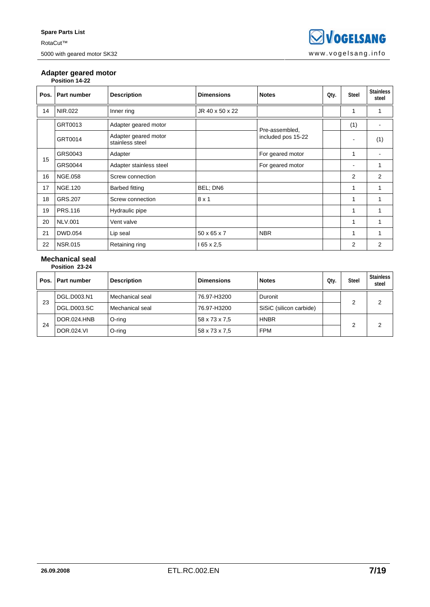### **Adapter geared motor**

| Pos. | Part number    | <b>Description</b>                      | <b>Dimensions</b>       | <b>Notes</b>                         | Qty. | Steel                        | <b>Stainless</b><br>steel |
|------|----------------|-----------------------------------------|-------------------------|--------------------------------------|------|------------------------------|---------------------------|
| 14   | NIR.022        | Inner ring                              | JR 40 x 50 x 22         |                                      |      |                              |                           |
|      | GRT0013        | Adapter geared motor                    |                         | Pre-assembled,<br>included pos 15-22 |      | (1)                          |                           |
|      | GRT0014        | Adapter geared motor<br>stainless steel |                         |                                      |      | $\qquad \qquad \blacksquare$ | (1)                       |
| 15   | GRS0043        | Adapter                                 |                         | For geared motor                     |      |                              |                           |
|      | GRS0044        | Adapter stainless steel                 |                         | For geared motor                     |      | -                            |                           |
| 16   | <b>NGE.058</b> | Screw connection                        |                         |                                      |      | $\overline{2}$               | 2                         |
| 17   | <b>NGE.120</b> | <b>Barbed fitting</b>                   | BEL; DN6                |                                      |      | 1                            | 1                         |
| 18   | GRS.207        | Screw connection                        | $8 \times 1$            |                                      |      | 1                            |                           |
| 19   | <b>PRS.116</b> | Hydraulic pipe                          |                         |                                      |      |                              |                           |
| 20   | <b>NLV.001</b> | Vent valve                              |                         |                                      |      | 1                            |                           |
| 21   | DWD.054        | Lip seal                                | $50 \times 65 \times 7$ | <b>NBR</b>                           |      | 1                            |                           |
| 22   | <b>NSR.015</b> | Retaining ring                          | l 65 x 2,5              |                                      |      | $\overline{2}$               | 2                         |

#### **Mechanical seal Position 23-24**

|        | . <b>.</b> .       |                    |                   |                         |      |              |                    |
|--------|--------------------|--------------------|-------------------|-------------------------|------|--------------|--------------------|
| Pos. I | l Part number      | <b>Description</b> | <b>Dimensions</b> | <b>Notes</b>            | Qty. | <b>Steel</b> | Stainless<br>steel |
| 23     | DGL.D003.N1        | Mechanical seal    | 76.97-H3200       | Duronit                 |      | 2            | 2                  |
|        | <b>DGL.D003.SC</b> | Mechanical seal    | 76.97-H3200       | SiSiC (silicon carbide) |      |              |                    |
|        | DOR.024.HNB        | O-ring             | 58 x 73 x 7.5     | <b>HNBR</b>             |      | 2            |                    |
| 24     | <b>DOR.024.VI</b>  | O-ring             | 58 x 73 x 7.5     | <b>FPM</b>              |      |              | 2                  |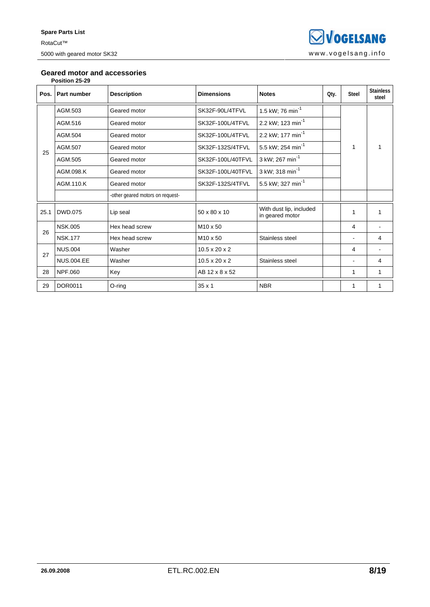### **Geared motor and accessories**

| Position 25-29 |  |
|----------------|--|
|----------------|--|

| Pos. | <b>Part number</b> | <b>Description</b>               | <b>Dimensions</b>         | <b>Notes</b>                               | Qty. | <b>Steel</b> | <b>Stainless</b><br>steel |
|------|--------------------|----------------------------------|---------------------------|--------------------------------------------|------|--------------|---------------------------|
|      | AGM.503            | Geared motor                     | SK32F-90L/4TFVL           | 1.5 kW; 76 min <sup>-1</sup>               |      |              |                           |
|      | AGM.516            | Geared motor                     | SK32F-100L/4TFVL          | 2.2 kW; 123 min <sup>-1</sup>              |      |              |                           |
|      | AGM.504            | Geared motor                     | SK32F-100L/4TFVL          | 2.2 kW; 177 min <sup>-1</sup>              |      | 1            |                           |
| 25   | AGM.507            | Geared motor                     | SK32F-132S/4TFVL          | 5.5 kW; 254 min <sup>-1</sup>              |      |              |                           |
|      | AGM.505            | Geared motor                     | SK32F-100L/40TFVL         | 3 kW; 267 min <sup>-1</sup>                |      |              |                           |
|      | AGM.098.K          | Geared motor                     | SK32F-100L/40TFVL         | 3 kW; 318 min <sup>-1</sup>                |      |              |                           |
|      | AGM.110.K          | Geared motor                     | SK32F-132S/4TFVL          | 5.5 kW; 327 min <sup>-1</sup>              |      |              |                           |
|      |                    | -other geared motors on request- |                           |                                            |      |              |                           |
| 25.1 | <b>DWD.075</b>     | Lip seal                         | 50 x 80 x 10              | With dust lip, included<br>in geared motor |      |              |                           |
| 26   | <b>NSK.005</b>     | Hex head screw                   | M <sub>10</sub> x 50      |                                            |      | 4            |                           |
|      | <b>NSK.177</b>     | Hex head screw                   | M10 x 50                  | Stainless steel                            |      |              | 4                         |
| 27   | <b>NUS.004</b>     | Washer                           | $10.5 \times 20 \times 2$ |                                            |      | 4            |                           |
|      | <b>NUS.004.EE</b>  | Washer                           | $10.5 \times 20 \times 2$ | Stainless steel                            |      |              | 4                         |
| 28   | NPF.060            | Key                              | AB 12 x 8 x 52            |                                            |      | 1            | 1                         |
| 29   | DOR0011            | O-ring                           | 35 x 1                    | <b>NBR</b>                                 |      |              |                           |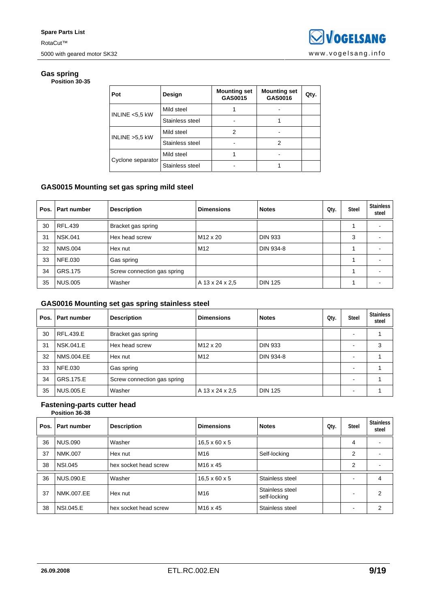#### **Gas spring Position 30-35**

| Pot               | Design          | <b>Mounting set</b><br>GAS0015 | <b>Mounting set</b><br>GAS0016 | Qty. |
|-------------------|-----------------|--------------------------------|--------------------------------|------|
| INLINE <5,5 kW    | Mild steel      |                                |                                |      |
|                   | Stainless steel |                                |                                |      |
| INLINE >5,5 kW    | Mild steel      | 2                              |                                |      |
|                   | Stainless steel |                                | 2                              |      |
|                   | Mild steel      |                                |                                |      |
| Cyclone separator | Stainless steel |                                |                                |      |

### **GAS0015 Mounting set gas spring mild steel**

| Pos. | Part number    | <b>Description</b>          | <b>Dimensions</b>    | <b>Notes</b>   | Qty. | <b>Steel</b> | <b>Stainless</b><br>steel |
|------|----------------|-----------------------------|----------------------|----------------|------|--------------|---------------------------|
| 30   | <b>RFL.439</b> | Bracket gas spring          |                      |                |      |              |                           |
| 31   | <b>NSK.041</b> | Hex head screw              | M <sub>12</sub> x 20 | <b>DIN 933</b> |      | 3            |                           |
| 32   | <b>NMS.004</b> | Hex nut                     | M12                  | DIN 934-8      |      |              |                           |
| 33   | NFE.030        | Gas spring                  |                      |                |      |              |                           |
| 34   | GRS.175        | Screw connection gas spring |                      |                |      |              |                           |
| 35   | <b>NUS.005</b> | Washer                      | A 13 x 24 x 2.5      | <b>DIN 125</b> |      |              |                           |

### **GAS0016 Mounting set gas spring stainless steel**

| Pos. | Part number       | <b>Description</b>          | <b>Dimensions</b>    | <b>Notes</b>   | Qty. | <b>Steel</b>             | <b>Stainless</b><br>steel |
|------|-------------------|-----------------------------|----------------------|----------------|------|--------------------------|---------------------------|
| 30   | RFL.439.E         | Bracket gas spring          |                      |                |      |                          |                           |
| 31   | NSK.041.E         | Hex head screw              | M <sub>12</sub> x 20 | <b>DIN 933</b> |      |                          | 3                         |
| 32   | <b>NMS.004.EE</b> | Hex nut                     | M <sub>12</sub>      | DIN 934-8      |      | -                        |                           |
| 33   | <b>NFE.030</b>    | Gas spring                  |                      |                |      | -                        |                           |
| 34   | GRS.175.E         | Screw connection gas spring |                      |                |      | $\overline{\phantom{0}}$ |                           |
| 35   | <b>NUS.005.E</b>  | Washer                      | A 13 x 24 x 2.5      | <b>DIN 125</b> |      |                          |                           |

#### **Fastening-parts cutter head Position 36-38**

| Pos. | Part number      | <b>Description</b>    | <b>Dimensions</b>         | <b>Notes</b>                    | Qty. | <b>Steel</b> | <b>Stainless</b><br>steel |
|------|------------------|-----------------------|---------------------------|---------------------------------|------|--------------|---------------------------|
| 36   | <b>NUS.090</b>   | Washer                | $16.5 \times 60 \times 5$ |                                 |      | 4            |                           |
| 37   | NMK.007          | Hex nut               | M <sub>16</sub>           | Self-locking                    |      | 2            |                           |
| 38   | <b>NSI.045</b>   | hex socket head screw | M <sub>16</sub> x 45      |                                 |      | 2            |                           |
| 36   | NUS.090.E        | Washer                | $16.5 \times 60 \times 5$ | Stainless steel                 |      | -            | 4                         |
| 37   | NMK.007.EE       | Hex nut               | M <sub>16</sub>           | Stainless steel<br>self-locking |      |              | 2                         |
| 38   | <b>NSI.045.E</b> | hex socket head screw | M <sub>16</sub> x 45      | Stainless steel                 |      |              | 2                         |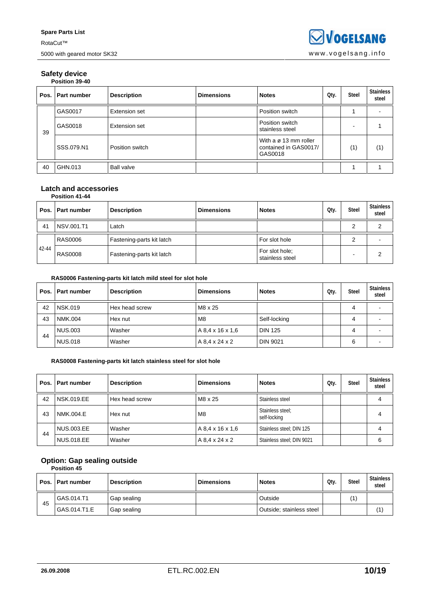#### **Safety device Position 39-40**

| Pos. I | l Part number | <b>Description</b>   | <b>Dimensions</b> | <b>Notes</b>                                                          | Qty. | <b>Steel</b> | <b>Stainless</b><br>steel |
|--------|---------------|----------------------|-------------------|-----------------------------------------------------------------------|------|--------------|---------------------------|
|        | GAS0017       | <b>Extension set</b> |                   | Position switch                                                       |      |              |                           |
| 39     | GAS0018       | Extension set        |                   | Position switch<br>stainless steel                                    |      |              |                           |
|        | SSS.079.N1    | Position switch      |                   | With $a \varnothing$ 13 mm roller<br>contained in GAS0017/<br>GAS0018 |      | (1)          | (1)                       |
| 40     | GHN.013       | <b>Ball valve</b>    |                   |                                                                       |      |              |                           |

#### **Latch and accessories Position 41-44**

| Pos.  | . I Part number | <b>Description</b>        | <b>Dimensions</b> | <b>Notes</b>                      | Oty. | <b>Steel</b> | <b>Stainless</b><br>steel |
|-------|-----------------|---------------------------|-------------------|-----------------------------------|------|--------------|---------------------------|
| 41    | NSV.001.T1      | Latch                     |                   |                                   |      | ◠            | ◠                         |
| 42-44 | <b>RAS0006</b>  | Fastening-parts kit latch |                   | For slot hole                     |      |              |                           |
|       | <b>RAS0008</b>  | Fastening-parts kit latch |                   | For slot hole:<br>stainless steel |      |              | っ                         |

### **RAS0006 Fastening-parts kit latch mild steel for slot hole**

|    | Pos.   Part number | <b>Description</b> | <b>Dimensions</b> | <b>Notes</b>    | Qty. | <b>Steel</b> | Stainless<br>steel |
|----|--------------------|--------------------|-------------------|-----------------|------|--------------|--------------------|
| 42 | <b>NSK.019</b>     | Hex head screw     | M8 x 25           |                 |      | 4            |                    |
| 43 | NMK.004            | Hex nut            | M8                | Self-locking    |      | 4            |                    |
| 44 | NUS.003            | Washer             | A 8.4 x 16 x 1.6  | <b>DIN 125</b>  |      | 4            |                    |
|    | <b>NUS.018</b>     | Washer             | A 8.4 x 24 x 2    | <b>DIN 9021</b> |      | 6            |                    |

#### **RAS0008 Fastening-parts kit latch stainless steel for slot hole**

| Pos. I | <b>Part number</b> | <b>Description</b> | <b>Dimensions</b> | <b>Notes</b>                     | Oty. | <b>Steel</b> | <b>Stainless</b><br>steel |
|--------|--------------------|--------------------|-------------------|----------------------------------|------|--------------|---------------------------|
| 42     | <b>NSK.019.EE</b>  | Hex head screw     | M8 x 25           | Stainless steel                  |      |              |                           |
| 43     | NMK.004.E          | Hex nut            | M <sub>8</sub>    | Stainless steel:<br>self-locking |      |              | 4                         |
|        | <b>NUS.003.EE</b>  | Washer             | A 8.4 x 16 x 1.6  | Stainless steel; DIN 125         |      |              | 4                         |
| 44     | <b>NUS.018.EE</b>  | Washer             | A 8.4 x 24 x 2    | Stainless steel; DIN 9021        |      |              | 6                         |

### **Option: Gap sealing outside**

| <b>Position 45</b> |  |
|--------------------|--|

|    | Pos.   Part number | <b>Description</b> | <b>Dimensions</b> | <b>Notes</b>             | Qtv. | <b>Steel</b> | <b>Stainless</b><br>steel |
|----|--------------------|--------------------|-------------------|--------------------------|------|--------------|---------------------------|
| 45 | GAS.014.T1         | Gap sealing        |                   | Outside                  |      | (1)          |                           |
|    | GAS.014.T1.E       | Gap sealing        |                   | Outside; stainless steel |      |              | (1)                       |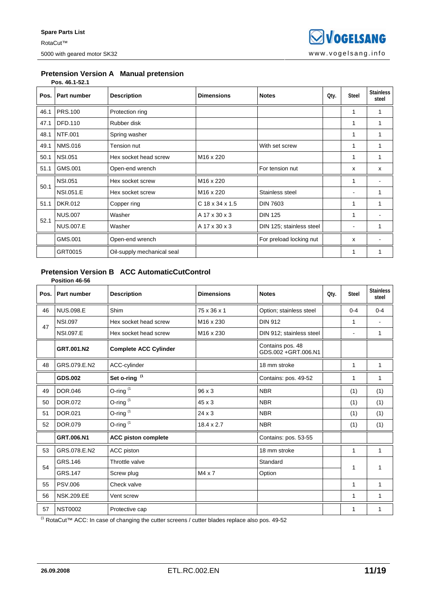#### **Pretension Version A Manual pretension Pos. 46.1-52.1**

| Pos. | <b>Part number</b> | <b>Description</b>         | <b>Dimensions</b>     | <b>Notes</b>             | Oty. | <b>Steel</b> | <b>Stainless</b><br>steel |
|------|--------------------|----------------------------|-----------------------|--------------------------|------|--------------|---------------------------|
| 46.1 | <b>PRS.100</b>     | Protection ring            |                       |                          |      |              |                           |
| 47.1 | <b>DFD.110</b>     | Rubber disk                |                       |                          |      |              |                           |
| 48.1 | <b>NTF.001</b>     | Spring washer              |                       |                          |      | 1            |                           |
| 49.1 | <b>NMS.016</b>     | Tension nut                |                       | With set screw           |      | 1            |                           |
| 50.1 | <b>NSI.051</b>     | Hex socket head screw      | M16 x 220             |                          |      |              |                           |
| 51.1 | GMS.001            | Open-end wrench            |                       | For tension nut          |      | x            | X                         |
| 50.1 | <b>NSI.051</b>     | Hex socket screw           | M16 x 220             |                          |      | 1            |                           |
|      | <b>NSI.051.E</b>   | Hex socket screw           | M <sub>16</sub> x 220 | Stainless steel          |      | ۰            | 1                         |
| 51.1 | <b>DKR.012</b>     | Copper ring                | $C$ 18 x 34 x 1.5     | <b>DIN 7603</b>          |      |              |                           |
| 52.1 | <b>NUS.007</b>     | Washer                     | A 17 x 30 x 3         | <b>DIN 125</b>           |      | 1            |                           |
|      | <b>NUS.007.E</b>   | Washer                     | A 17 x 30 x 3         | DIN 125; stainless steel |      |              | 1                         |
|      | GMS.001            | Open-end wrench            |                       | For preload locking nut  |      | x            |                           |
|      | GRT0015            | Oil-supply mechanical seal |                       |                          |      |              |                           |

## **Pretension Version B ACC AutomaticCutControl**

|      | Position 46-56     |                              |                       |                                          |      |                |                           |
|------|--------------------|------------------------------|-----------------------|------------------------------------------|------|----------------|---------------------------|
| Pos. | <b>Part number</b> | <b>Description</b>           | <b>Dimensions</b>     | <b>Notes</b>                             | Qty. | <b>Steel</b>   | <b>Stainless</b><br>steel |
| 46   | <b>NUS.098.E</b>   | Shim                         | 75 x 36 x 1           | Option; stainless steel                  |      | $0 - 4$        | $0 - 4$                   |
| 47   | <b>NSI.097</b>     | Hex socket head screw        | M <sub>16</sub> x 230 | <b>DIN 912</b>                           |      | 1              |                           |
|      | <b>NSI.097.E</b>   | Hex socket head screw        | M <sub>16</sub> x 230 | DIN 912; stainless steel                 |      | $\blacksquare$ | 1                         |
|      | GRT.001.N2         | <b>Complete ACC Cylinder</b> |                       | Contains pos. 48<br>GDS.002 + GRT.006.N1 |      |                |                           |
| 48   | GRS.079.E.N2       | ACC-cylinder                 |                       | 18 mm stroke                             |      | 1              | 1                         |
|      | GDS.002            | Set o-ring <sup>(1</sup>     |                       | Contains: pos. 49-52                     |      | 1              | $\mathbf{1}$              |
| 49   | <b>DOR.046</b>     | O-ring $(1)$                 | 96 x 3                | <b>NBR</b>                               |      | (1)            | (1)                       |
| 50   | DOR.072            | O-ring $(1)$                 | $45 \times 3$         | <b>NBR</b>                               |      | (1)            | (1)                       |
| 51   | DOR.021            | O-ring $(1)$                 | $24 \times 3$         | <b>NBR</b>                               |      | (1)            | (1)                       |
| 52   | <b>DOR.079</b>     | O-ring $(1)$                 | $18.4 \times 2.7$     | <b>NBR</b>                               |      | (1)            | (1)                       |
|      | GRT.006.N1         | <b>ACC piston complete</b>   |                       | Contains: pos. 53-55                     |      |                |                           |
| 53   | GRS.078.E.N2       | ACC piston                   |                       | 18 mm stroke                             |      | 1              | 1                         |
| 54   | GRS.146            | Throttle valve               |                       | Standard                                 |      |                | 1                         |
|      | <b>GRS.147</b>     | Screw plug                   | $M4 \times 7$         | Option                                   |      | 1              |                           |
| 55   | <b>PSV.006</b>     | Check valve                  |                       |                                          |      | 1              | 1                         |
| 56   | <b>NSK.209.EE</b>  | Vent screw                   |                       |                                          |      | 1              | 1                         |
| 57   | <b>NST0002</b>     | Protective cap               |                       |                                          |      | 1              | 1                         |

(1 RotaCut™ ACC: In case of changing the cutter screens / cutter blades replace also pos. 49-52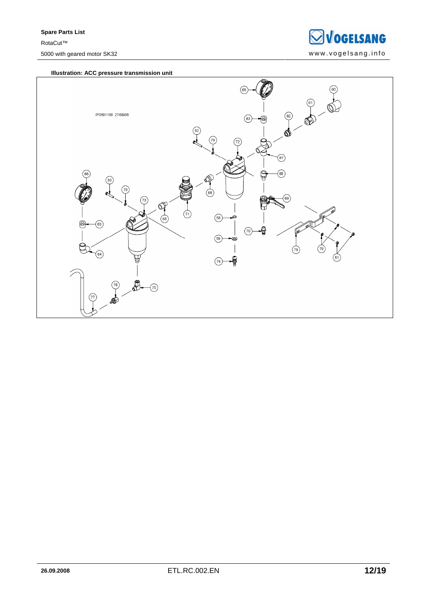

#### **Illustration: ACC pressure transmission unit**

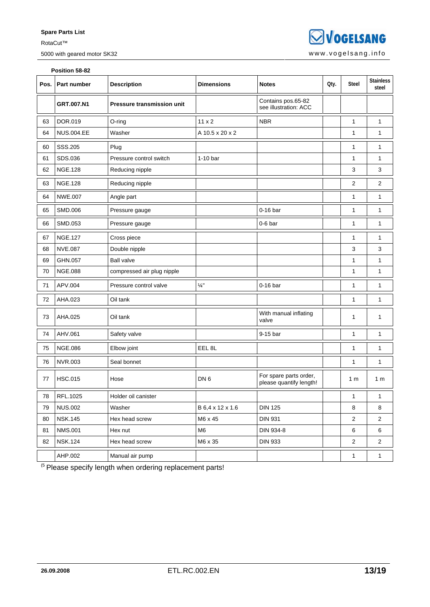5000 with geared motor SK32 www.vogelsang.info

**SVOGELSANG** 

|      | Position 58-82    |                                   |                   |                                                   |      |                         |                           |  |  |
|------|-------------------|-----------------------------------|-------------------|---------------------------------------------------|------|-------------------------|---------------------------|--|--|
| Pos. | Part number       | <b>Description</b>                | <b>Dimensions</b> | <b>Notes</b>                                      | Qty. | <b>Steel</b>            | <b>Stainless</b><br>steel |  |  |
|      | GRT.007.N1        | <b>Pressure transmission unit</b> |                   | Contains pos.65-82<br>see illustration: ACC       |      |                         |                           |  |  |
| 63   | DOR.019           | O-ring                            | $11 \times 2$     | <b>NBR</b>                                        |      | $\mathbf{1}$            | 1                         |  |  |
| 64   | <b>NUS.004.EE</b> | Washer                            | A 10.5 x 20 x 2   |                                                   |      | 1                       | 1                         |  |  |
| 60   | SSS.205           | Plug                              |                   |                                                   |      | 1                       | 1                         |  |  |
| 61   | SDS.036           | Pressure control switch           | $1-10$ bar        |                                                   |      | 1                       | 1                         |  |  |
| 62   | <b>NGE.128</b>    | Reducing nipple                   |                   |                                                   |      | 3                       | 3                         |  |  |
| 63   | <b>NGE.128</b>    | Reducing nipple                   |                   |                                                   |      | 2                       | $\overline{2}$            |  |  |
| 64   | <b>NWE.007</b>    | Angle part                        |                   |                                                   |      | $\mathbf{1}$            | $\mathbf{1}$              |  |  |
| 65   | SMD.006           | Pressure gauge                    |                   | $0-16$ bar                                        |      | 1                       | 1                         |  |  |
| 66   | SMD.053           | Pressure gauge                    |                   | $0-6$ bar                                         |      | 1                       | 1                         |  |  |
| 67   | <b>NGE.127</b>    | Cross piece                       |                   |                                                   |      | 1                       | 1                         |  |  |
| 68   | <b>NVE.087</b>    | Double nipple                     |                   |                                                   |      | 3                       | 3                         |  |  |
| 69   | GHN.057           | <b>Ball valve</b>                 |                   |                                                   |      | 1                       | 1                         |  |  |
| 70   | <b>NGE.088</b>    | compressed air plug nipple        |                   |                                                   |      | 1                       | 1                         |  |  |
| 71   | APV.004           | Pressure control valve            | $\frac{1}{4}$ "   | $0-16$ bar                                        |      | 1                       | 1                         |  |  |
| 72   | AHA.023           | Oil tank                          |                   |                                                   |      | 1                       | 1                         |  |  |
| 73   | AHA.025           | Oil tank                          |                   | With manual inflating<br>valve                    |      | 1                       | 1                         |  |  |
| 74   | AHV.061           | Safety valve                      |                   | 9-15 bar                                          |      | 1                       | 1                         |  |  |
| 75   | <b>NGE.086</b>    | Elbow joint                       | EEL <sub>8L</sub> |                                                   |      | 1                       | $\mathbf{1}$              |  |  |
| 76   | <b>NVR.003</b>    | Seal bonnet                       |                   |                                                   |      | 1                       | 1                         |  |  |
| 77   | <b>HSC.015</b>    | Hose                              | DN <sub>6</sub>   | For spare parts order,<br>please quantify length! |      | 1 <sub>m</sub>          | 1 <sub>m</sub>            |  |  |
| 78   | RFL.1025          | Holder oil canister               |                   |                                                   |      | 1                       | 1                         |  |  |
| 79   | <b>NUS.002</b>    | Washer                            | B 6,4 x 12 x 1.6  | <b>DIN 125</b>                                    |      | 8                       | 8                         |  |  |
| 80   | <b>NSK.145</b>    | Hex head screw                    | M6 x 45           | <b>DIN 931</b>                                    |      | $\overline{2}$          | $\overline{2}$            |  |  |
| 81   | <b>NMS.001</b>    | Hex nut                           | M <sub>6</sub>    | DIN 934-8                                         |      | 6                       | 6                         |  |  |
| 82   | <b>NSK.124</b>    | Hex head screw                    | M6 x 35           | <b>DIN 933</b>                                    |      | $\overline{\mathbf{c}}$ | $\overline{c}$            |  |  |
|      | AHP.002           | Manual air pump                   |                   |                                                   |      | 1                       | $\mathbf{1}$              |  |  |

 $<sup>(5</sup>$  Please specify length when ordering replacement parts!</sup>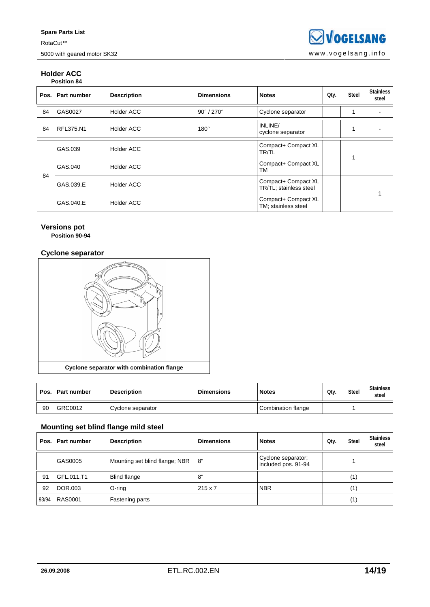#### **Holder ACC Position 84**

| Pos. | <b>Part number</b> | <b>Description</b> | <b>Dimensions</b>             | <b>Notes</b>                                  | Qty. | <b>Steel</b> | <b>Stainless</b><br>steel |
|------|--------------------|--------------------|-------------------------------|-----------------------------------------------|------|--------------|---------------------------|
| 84   | GAS0027            | <b>Holder ACC</b>  | $90^{\circ}$ / 270 $^{\circ}$ | Cyclone separator                             |      |              |                           |
| 84   | RFL375.N1          | <b>Holder ACC</b>  | $180^\circ$                   | INLINE/<br>cyclone separator                  |      |              |                           |
| 84   | GAS.039            | <b>Holder ACC</b>  |                               | Compact+ Compact XL<br><b>TR/TL</b>           |      |              |                           |
|      | GAS.040            | <b>Holder ACC</b>  |                               | Compact+ Compact XL<br>TM                     |      |              |                           |
|      | GAS.039.E          | <b>Holder ACC</b>  |                               | Compact+ Compact XL<br>TR/TL; stainless steel |      |              |                           |
|      | GAS.040.E          | <b>Holder ACC</b>  |                               | Compact+ Compact XL<br>TM; stainless steel    |      |              |                           |

### **Versions pot**

**Position 90-94** 

### **Cyclone separator**



|    | Pos.   Part number | <b>Description</b> | <b>Dimensions</b> | <b>Notes</b>       | Qtv. | <b>Steel</b> | <b>Stainless</b><br>steel |
|----|--------------------|--------------------|-------------------|--------------------|------|--------------|---------------------------|
| 90 | GRC0012            | Cyclone separator  |                   | Combination flange |      |              |                           |

### **Mounting set blind flange mild steel**

| Pos.  | Part number    | <b>Description</b>             | <b>Dimensions</b> | <b>Notes</b>                              | Qty. | <b>Steel</b> | <b>Stainless</b><br>steel |
|-------|----------------|--------------------------------|-------------------|-------------------------------------------|------|--------------|---------------------------|
|       | GAS0005        | Mounting set blind flange; NBR | l 8"              | Cyclone separator;<br>included pos. 91-94 |      |              |                           |
| 91    | GFL.011.T1     | <b>Blind flange</b>            | 8"                |                                           |      | (1)          |                           |
| 92    | DOR.003        | O-ring                         | $215 \times 7$    | <b>NBR</b>                                |      | (1)          |                           |
| 93/94 | <b>RAS0001</b> | Fastening parts                |                   |                                           |      | (1)          |                           |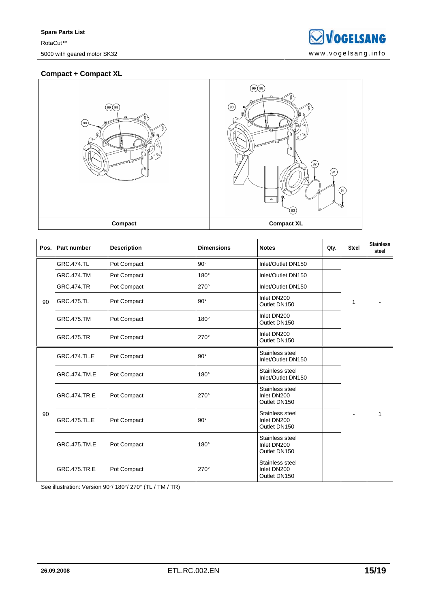### **Compact + Compact XL**





| Pos. | Part number         | <b>Description</b> | <b>Dimensions</b> | <b>Notes</b>                                   | Oty. | <b>Steel</b> | <b>Stainless</b><br>steel |
|------|---------------------|--------------------|-------------------|------------------------------------------------|------|--------------|---------------------------|
| 90   | <b>GRC.474.TL</b>   | Pot Compact        | $90^\circ$        | Inlet/Outlet DN150                             |      |              |                           |
|      | <b>GRC.474.TM</b>   | Pot Compact        | $180^\circ$       | Inlet/Outlet DN150                             |      |              |                           |
|      | <b>GRC.474.TR</b>   | Pot Compact        | 270°              | Inlet/Outlet DN150                             |      |              |                           |
|      | <b>GRC.475.TL</b>   | Pot Compact        | $90^\circ$        | Inlet DN200<br>Outlet DN150                    |      | 1            |                           |
|      | <b>GRC.475.TM</b>   | Pot Compact        | $180^\circ$       | Inlet DN200<br>Outlet DN150                    |      |              |                           |
|      | <b>GRC.475.TR</b>   | Pot Compact        | $270^\circ$       | Inlet DN200<br>Outlet DN150                    |      |              |                           |
|      | <b>GRC.474.TL.E</b> | Pot Compact        | $90^\circ$        | Stainless steel<br>Inlet/Outlet DN150          |      |              |                           |
|      | GRC.474.TM.E        | Pot Compact        | $180^\circ$       | Stainless steel<br>Inlet/Outlet DN150          |      |              |                           |
|      | <b>GRC.474.TR.E</b> | Pot Compact        | $270^\circ$       | Stainless steel<br>Inlet DN200<br>Outlet DN150 |      |              |                           |
| 90   | <b>GRC.475.TL.E</b> | Pot Compact        | $90^\circ$        | Stainless steel<br>Inlet DN200<br>Outlet DN150 |      |              |                           |
|      | GRC.475.TM.E        | Pot Compact        | $180^\circ$       | Stainless steel<br>Inlet DN200<br>Outlet DN150 |      |              |                           |
|      | GRC.475.TR.E        | Pot Compact        | $270^\circ$       | Stainless steel<br>Inlet DN200<br>Outlet DN150 |      |              |                           |

See illustration: Version 90°/ 180°/ 270° (TL / TM / TR)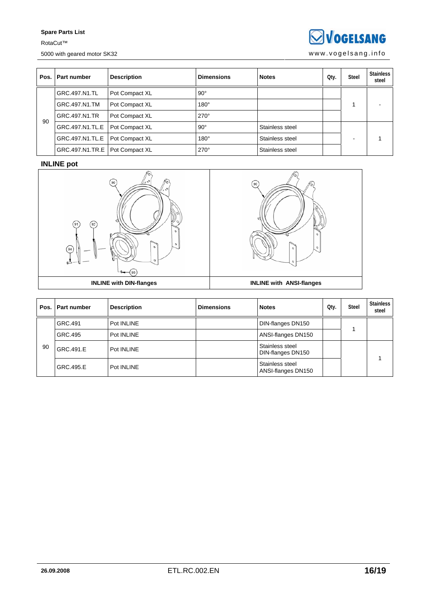**SVOGELSANG** 

5000 with geared motor SK32 www.vogelsang.info

| Pos. | Part number                      | <b>Description</b> | <b>Dimensions</b> | <b>Notes</b>    | Qty. | Steel | <b>Stainless</b><br>steel |
|------|----------------------------------|--------------------|-------------------|-----------------|------|-------|---------------------------|
|      | GRC.497.N1.TL                    | Pot Compact XL     | $90^\circ$        |                 |      |       |                           |
|      | GRC.497.N1.TM                    | Pot Compact XL     | $180^\circ$       |                 |      |       |                           |
| 90   | GRC.497.N1.TR                    | Pot Compact XL     | $270^\circ$       |                 |      |       |                           |
|      | GRC.497.N1.TL.E                  | Pot Compact XL     | $90^\circ$        | Stainless steel |      |       |                           |
|      | GRC.497.N1.TL.E                  | Pot Compact XL     | $180^\circ$       | Stainless steel |      |       |                           |
|      | GRC.497.N1.TR.E   Pot Compact XL |                    | $270^\circ$       | Stainless steel |      |       |                           |

### **INLINE pot**





|    | Pos.   Part number | <b>Description</b> | <b>Dimensions</b> | <b>Notes</b>                          | Qty. | <b>Steel</b> | <b>Stainless</b><br>steel |
|----|--------------------|--------------------|-------------------|---------------------------------------|------|--------------|---------------------------|
|    | GRC.491            | Pot INLINE         |                   | DIN-flanges DN150                     |      |              |                           |
|    | GRC.495            | Pot INLINE         |                   | ANSI-flanges DN150                    |      |              |                           |
| 90 | GRC.491.E          | Pot INLINE         |                   | Stainless steel<br>DIN-flanges DN150  |      |              |                           |
|    | GRC.495.E          | Pot INLINE         |                   | Stainless steel<br>ANSI-flanges DN150 |      |              |                           |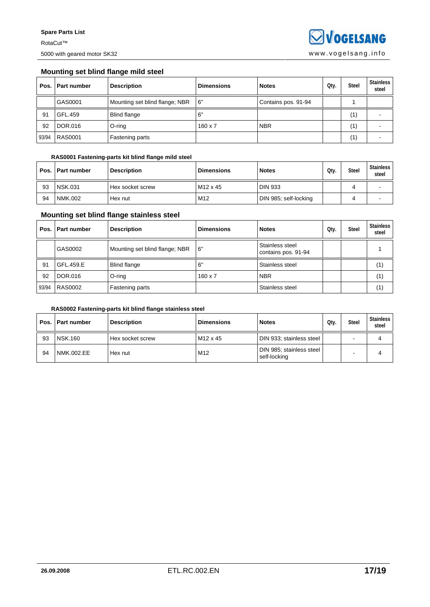### **Mounting set blind flange mild steel**

| Pos.  | l Part number  | <b>Description</b>             | <b>Dimensions</b> | <b>Notes</b>        | Qty. | <b>Steel</b> | <b>Stainless</b><br>steel |
|-------|----------------|--------------------------------|-------------------|---------------------|------|--------------|---------------------------|
|       | GAS0001        | Mounting set blind flange; NBR | 6"                | Contains pos. 91-94 |      |              |                           |
| 91    | GFL.459        | <b>Blind flange</b>            | . 6"              |                     |      | (1)          |                           |
| 92    | DOR.016        | O-ring                         | $160 \times 7$    | <b>NBR</b>          |      | '1)          |                           |
| 93/94 | <b>RAS0001</b> | Fastening parts                |                   |                     |      | '1)          |                           |

#### **RAS0001 Fastening-parts kit blind flange mild steel**

| Pos. I | <b>Part number</b> | <b>Description</b> | <b>Dimensions</b>    | <b>Notes</b>          | Qtv. | <b>Steel</b> | <b>Stainless</b><br>steel |
|--------|--------------------|--------------------|----------------------|-----------------------|------|--------------|---------------------------|
| 93     | <b>NSK.031</b>     | l Hex socket screw | M <sub>12</sub> x 45 | <b>DIN 933</b>        |      |              |                           |
| 94     | <b>NMK.002</b>     | Hex nut            | M <sub>12</sub>      | DIN 985; self-locking |      |              |                           |

### **Mounting set blind flange stainless steel**

| Pos. I | <b>Part number</b> | <b>Description</b>             | <b>Dimensions</b> | <b>Notes</b>                           | Qty. | <b>Steel</b> | <b>Stainless</b><br>steel |
|--------|--------------------|--------------------------------|-------------------|----------------------------------------|------|--------------|---------------------------|
|        | GAS0002            | Mounting set blind flange; NBR | 16"               | Stainless steel<br>contains pos. 91-94 |      |              |                           |
| 91     | GFL.459.E          | <b>Blind flange</b>            | 6'                | Stainless steel                        |      |              | (1)                       |
| 92     | DOR.016            | O-ring                         | $160 \times 7$    | <b>NBR</b>                             |      |              | (1)                       |
| 93/94  | <b>RAS0002</b>     | Fastening parts                |                   | Stainless steel                        |      |              | (1)                       |

### **RAS0002 Fastening-parts kit blind flange stainless steel**

| Pos. I | <b>Part number</b> | <b>Description</b> | <b>Dimensions</b>    | <b>Notes</b>                             | Qtv. | <b>Steel</b>             | <b>Stainless</b><br>steel |
|--------|--------------------|--------------------|----------------------|------------------------------------------|------|--------------------------|---------------------------|
| 93     | <b>NSK.160</b>     | Hex socket screw   | M <sub>12</sub> x 45 | DIN 933; stainless steel                 |      | -                        | 4                         |
| 94     | NMK.002.EE         | Hex nut            | M12                  | DIN 985; stainless steel<br>self-locking |      | $\overline{\phantom{0}}$ |                           |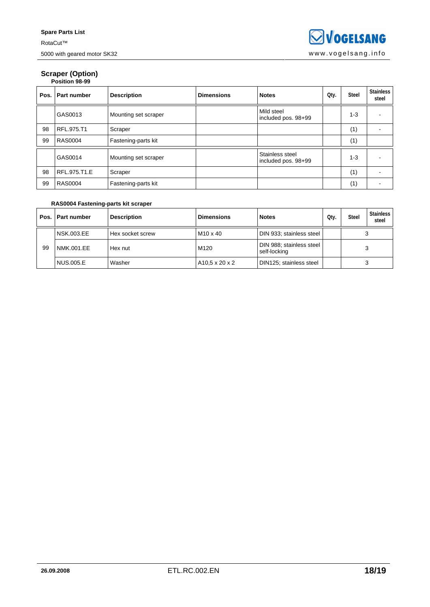# **Scraper (Option)**  Ersa **Position 98-99**

| Pos. | Part number    | <b>Description</b>   | <b>Dimensions</b> | <b>Notes</b>                           | Qty. | <b>Steel</b> | <b>Stainless</b><br>steel |
|------|----------------|----------------------|-------------------|----------------------------------------|------|--------------|---------------------------|
|      | GAS0013        | Mounting set scraper |                   | Mild steel<br>included pos. 98+99      |      | $1 - 3$      |                           |
| 98   | RFL.975.T1     | Scraper              |                   |                                        |      | (1)          |                           |
| 99   | <b>RAS0004</b> | Fastening-parts kit  |                   |                                        |      | (1)          |                           |
|      | GAS0014        | Mounting set scraper |                   | Stainless steel<br>included pos. 98+99 |      | $1 - 3$      |                           |
| 98   | RFL.975.T1.E   | Scraper              |                   |                                        |      | (1)          |                           |
| 99   | <b>RAS0004</b> | Fastening-parts kit  |                   |                                        |      | (1)          |                           |

### **RAS0004 Fastening-parts kit scraper**

|    | Pos.   Part number | <b>Description</b> | <b>Dimensions</b> | <b>Notes</b>                             | Qty. | <b>Steel</b> | <b>Stainless</b><br>steel |
|----|--------------------|--------------------|-------------------|------------------------------------------|------|--------------|---------------------------|
|    | NSK.003.EE         | Hex socket screw   | $M10 \times 40$   | DIN 933; stainless steel                 |      |              |                           |
| 99 | NMK.001.EE         | Hex nut            | M <sub>120</sub>  | DIN 988; stainless steel<br>self-locking |      |              |                           |
|    | <b>NUS.005.E</b>   | Washer             | A10.5 x 20 x 2    | DIN125; stainless steel                  |      |              |                           |